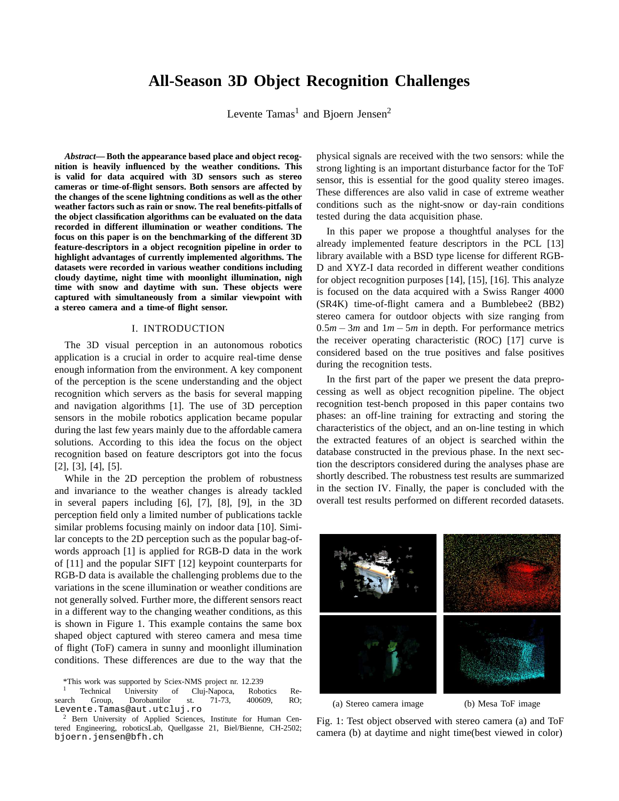# **All-Season 3D Object Recognition Challenges**

Levente Tamas<sup>1</sup> and Bjoern Jensen<sup>2</sup>

*Abstract***— Both the appearance based place and object recognition is heavily influenced by the weather conditions. This is valid for data acquired with 3D sensors such as stereo cameras or time-of-flight sensors. Both sensors are affected by the changes of the scene lightning conditions as well as the other weather factors such as rain or snow. The real benefits-pitfalls of the object classification algorithms can be evaluated on the data recorded in different illumination or weather conditions. The focus on this paper is on the benchmarking of the different 3D feature-descriptors in a object recognition pipeline in order to highlight advantages of currently implemented algorithms. The datasets were recorded in various weather conditions including cloudy daytime, night time with moonlight illumination, nigh time with snow and daytime with sun. These objects were captured with simultaneously from a similar viewpoint with a stereo camera and a time-of flight sensor.**

## I. INTRODUCTION

The 3D visual perception in an autonomous robotics application is a crucial in order to acquire real-time dense enough information from the environment. A key component of the perception is the scene understanding and the object recognition which servers as the basis for several mapping and navigation algorithms [1]. The use of 3D perception sensors in the mobile robotics application became popular during the last few years mainly due to the affordable camera solutions. According to this idea the focus on the object recognition based on feature descriptors got into the focus [2], [3], [4], [5].

While in the 2D perception the problem of robustness and invariance to the weather changes is already tackled in several papers including [6], [7], [8], [9], in the 3D perception field only a limited number of publications tackle similar problems focusing mainly on indoor data [10]. Similar concepts to the 2D perception such as the popular bag-ofwords approach [1] is applied for RGB-D data in the work of [11] and the popular SIFT [12] keypoint counterparts for RGB-D data is available the challenging problems due to the variations in the scene illumination or weather conditions are not generally solved. Further more, the different sensors react in a different way to the changing weather conditions, as this is shown in Figure 1. This example contains the same box shaped object captured with stereo camera and mesa time of flight (ToF) camera in sunny and moonlight illumination conditions. These differences are due to the way that the

physical signals are received with the two sensors: while the strong lighting is an important disturbance factor for the ToF sensor, this is essential for the good quality stereo images. These differences are also valid in case of extreme weather conditions such as the night-snow or day-rain conditions tested during the data acquisition phase.

In this paper we propose a thoughtful analyses for the already implemented feature descriptors in the PCL [13] library available with a BSD type license for different RGB-D and XYZ-I data recorded in different weather conditions for object recognition purposes [14], [15], [16]. This analyze is focused on the data acquired with a Swiss Ranger 4000 (SR4K) time-of-flight camera and a Bumblebee2 (BB2) stereo camera for outdoor objects with size ranging from 0.5*m* − 3*m* and 1*m* − 5*m* in depth. For performance metrics the receiver operating characteristic (ROC) [17] curve is considered based on the true positives and false positives during the recognition tests.

In the first part of the paper we present the data preprocessing as well as object recognition pipeline. The object recognition test-bench proposed in this paper contains two phases: an off-line training for extracting and storing the characteristics of the object, and an on-line testing in which the extracted features of an object is searched within the database constructed in the previous phase. In the next section the descriptors considered during the analyses phase are shortly described. The robustness test results are summarized in the section IV. Finally, the paper is concluded with the overall test results performed on different recorded datasets.



(a) Stereo camera image (b) Mesa ToF image

Fig. 1: Test object observed with stereo camera (a) and ToF camera (b) at daytime and night time(best viewed in color)

<sup>\*</sup>This work was supported by Sciex-NMS project nr. 12.239

Technical University of Cluj-Napoca, Robotics Re-<br>Group, Dorobantilor st. 71-73, 400609, RO; search Group, Dorobantilor st. 71-73, 400609, RO; Levente.Tamas@aut.utcluj.ro

<sup>2</sup> Bern University of Applied Sciences, Institute for Human Centered Engineering, roboticsLab, Quellgasse 21, Biel/Bienne, CH-2502; bjoern.jensen@bfh.ch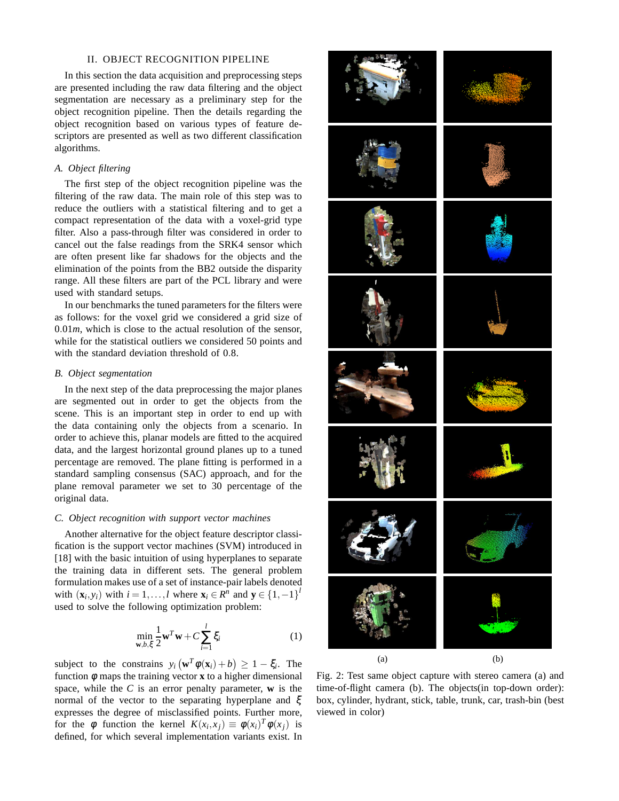### II. OBJECT RECOGNITION PIPELINE

In this section the data acquisition and preprocessing steps are presented including the raw data filtering and the object segmentation are necessary as a preliminary step for the object recognition pipeline. Then the details regarding the object recognition based on various types of feature descriptors are presented as well as two different classification algorithms.

## *A. Object filtering*

The first step of the object recognition pipeline was the filtering of the raw data. The main role of this step was to reduce the outliers with a statistical filtering and to get a compact representation of the data with a voxel-grid type filter. Also a pass-through filter was considered in order to cancel out the false readings from the SRK4 sensor which are often present like far shadows for the objects and the elimination of the points from the BB2 outside the disparity range. All these filters are part of the PCL library and were used with standard setups.

In our benchmarks the tuned parameters for the filters were as follows: for the voxel grid we considered a grid size of  $0.01m$ , which is close to the actual resolution of the sensor, while for the statistical outliers we considered 50 points and with the standard deviation threshold of 0.8.

## *B. Object segmentation*

In the next step of the data preprocessing the major planes are segmented out in order to get the objects from the scene. This is an important step in order to end up with the data containing only the objects from a scenario. In order to achieve this, planar models are fitted to the acquired data, and the largest horizontal ground planes up to a tuned percentage are removed. The plane fitting is performed in a standard sampling consensus (SAC) approach, and for the plane removal parameter we set to 30 percentage of the original data.

## *C. Object recognition with support vector machines*

Another alternative for the object feature descriptor classification is the support vector machines (SVM) introduced in [18] with the basic intuition of using hyperplanes to separate the training data in different sets. The general problem formulation makes use of a set of instance-pair labels denoted with  $(\mathbf{x}_i, y_i)$  with  $i = 1, ..., l$  where  $\mathbf{x}_i \in R^n$  and  $\mathbf{y} \in \{1, -1\}^l$ used to solve the following optimization problem:

$$
\min_{\mathbf{w},b,\xi} \frac{1}{2} \mathbf{w}^T \mathbf{w} + C \sum_{i=1}^l \xi_i
$$
 (1)

subject to the constrains  $y_i(\mathbf{w}^T \phi(\mathbf{x}_i) + b) \ge 1 - \xi_i$ . The function  $\phi$  maps the training vector **x** to a higher dimensional space, while the *C* is an error penalty parameter, **w** is the normal of the vector to the separating hyperplane and ξ expresses the degree of misclassified points. Further more, for the  $\phi$  function the kernel  $K(x_i, x_j) \equiv \phi(x_i)^T \phi(x_j)$  is defined, for which several implementation variants exist. In



Fig. 2: Test same object capture with stereo camera (a) and time-of-flight camera (b). The objects(in top-down order): box, cylinder, hydrant, stick, table, trunk, car, trash-bin (best viewed in color)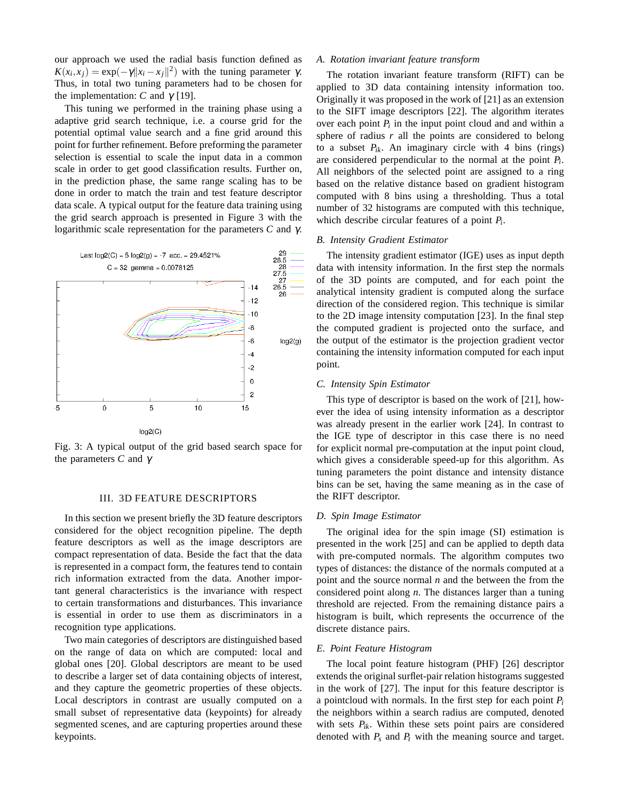our approach we used the radial basis function defined as  $K(x_i, x_j) = \exp(-\gamma ||x_i - x_j||^2)$  with the tuning parameter  $\gamma$ . Thus, in total two tuning parameters had to be chosen for the implementation: *C* and  $γ$  [19].

This tuning we performed in the training phase using a adaptive grid search technique, i.e. a course grid for the potential optimal value search and a fine grid around this point for further refinement. Before preforming the parameter selection is essential to scale the input data in a common scale in order to get good classification results. Further on, in the prediction phase, the same range scaling has to be done in order to match the train and test feature descriptor data scale. A typical output for the feature data training using the grid search approach is presented in Figure 3 with the logarithmic scale representation for the parameters *C* and γ.



Fig. 3: A typical output of the grid based search space for the parameters *C* and γ

## III. 3D FEATURE DESCRIPTORS

In this section we present briefly the 3D feature descriptors considered for the object recognition pipeline. The depth feature descriptors as well as the image descriptors are compact representation of data. Beside the fact that the data is represented in a compact form, the features tend to contain rich information extracted from the data. Another important general characteristics is the invariance with respect to certain transformations and disturbances. This invariance is essential in order to use them as discriminators in a recognition type applications.

Two main categories of descriptors are distinguished based on the range of data on which are computed: local and global ones [20]. Global descriptors are meant to be used to describe a larger set of data containing objects of interest, and they capture the geometric properties of these objects. Local descriptors in contrast are usually computed on a small subset of representative data (keypoints) for already segmented scenes, and are capturing properties around these keypoints.

## *A. Rotation invariant feature transform*

The rotation invariant feature transform (RIFT) can be applied to 3D data containing intensity information too. Originally it was proposed in the work of [21] as an extension to the SIFT image descriptors [22]. The algorithm iterates over each point  $P_i$  in the input point cloud and and within a sphere of radius *r* all the points are considered to belong to a subset  $P_{ik}$ . An imaginary circle with 4 bins (rings) are considered perpendicular to the normal at the point *P<sup>i</sup>* . All neighbors of the selected point are assigned to a ring based on the relative distance based on gradient histogram computed with 8 bins using a thresholding. Thus a total number of 32 histograms are computed with this technique, which describe circular features of a point *P<sup>i</sup>* .

## *B. Intensity Gradient Estimator*

The intensity gradient estimator (IGE) uses as input depth data with intensity information. In the first step the normals of the 3D points are computed, and for each point the analytical intensity gradient is computed along the surface direction of the considered region. This technique is similar to the 2D image intensity computation [23]. In the final step the computed gradient is projected onto the surface, and the output of the estimator is the projection gradient vector containing the intensity information computed for each input point.

## *C. Intensity Spin Estimator*

This type of descriptor is based on the work of [21], however the idea of using intensity information as a descriptor was already present in the earlier work [24]. In contrast to the IGE type of descriptor in this case there is no need for explicit normal pre-computation at the input point cloud, which gives a considerable speed-up for this algorithm. As tuning parameters the point distance and intensity distance bins can be set, having the same meaning as in the case of the RIFT descriptor.

#### *D. Spin Image Estimator*

The original idea for the spin image (SI) estimation is presented in the work [25] and can be applied to depth data with pre-computed normals. The algorithm computes two types of distances: the distance of the normals computed at a point and the source normal *n* and the between the from the considered point along *n*. The distances larger than a tuning threshold are rejected. From the remaining distance pairs a histogram is built, which represents the occurrence of the discrete distance pairs.

#### *E. Point Feature Histogram*

The local point feature histogram (PHF) [26] descriptor extends the original surflet-pair relation histograms suggested in the work of [27]. The input for this feature descriptor is a pointcloud with normals. In the first step for each point *P<sup>i</sup>* the neighbors within a search radius are computed, denoted with sets  $P_{ik}$ . Within these sets point pairs are considered denoted with  $P_s$  and  $P_t$  with the meaning source and target.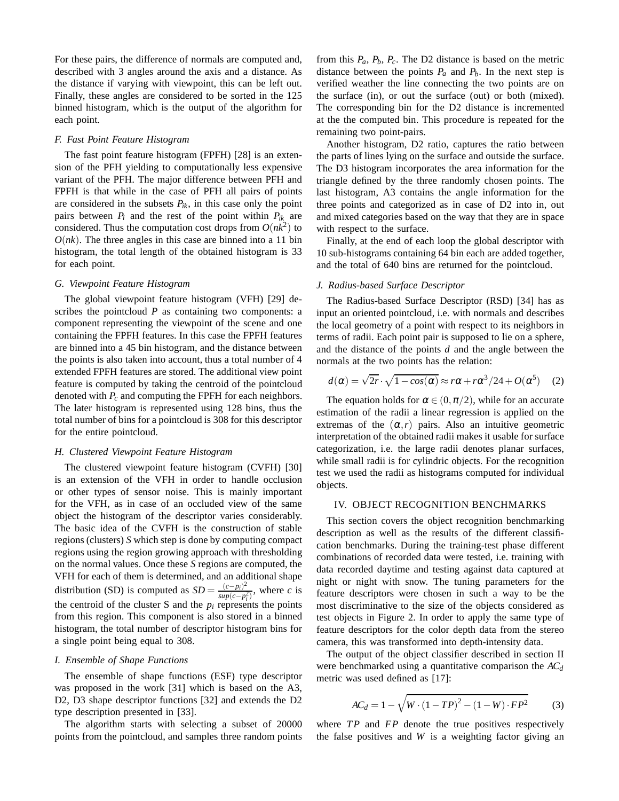For these pairs, the difference of normals are computed and, described with 3 angles around the axis and a distance. As the distance if varying with viewpoint, this can be left out. Finally, these angles are considered to be sorted in the 125 binned histogram, which is the output of the algorithm for each point.

## *F. Fast Point Feature Histogram*

The fast point feature histogram (FPFH) [28] is an extension of the PFH yielding to computationally less expensive variant of the PFH. The major difference between PFH and FPFH is that while in the case of PFH all pairs of points are considered in the subsets  $P_{ik}$ , in this case only the point pairs between  $P_i$  and the rest of the point within  $P_{ik}$  are considered. Thus the computation cost drops from  $O(nk^2)$  to  $O(nk)$ . The three angles in this case are binned into a 11 bin histogram, the total length of the obtained histogram is 33 for each point.

## *G. Viewpoint Feature Histogram*

The global viewpoint feature histogram (VFH) [29] describes the pointcloud *P* as containing two components: a component representing the viewpoint of the scene and one containing the FPFH features. In this case the FPFH features are binned into a 45 bin histogram, and the distance between the points is also taken into account, thus a total number of 4 extended FPFH features are stored. The additional view point feature is computed by taking the centroid of the pointcloud denoted with *P<sup>c</sup>* and computing the FPFH for each neighbors. The later histogram is represented using 128 bins, thus the total number of bins for a pointcloud is 308 for this descriptor for the entire pointcloud.

## *H. Clustered Viewpoint Feature Histogram*

The clustered viewpoint feature histogram (CVFH) [30] is an extension of the VFH in order to handle occlusion or other types of sensor noise. This is mainly important for the VFH, as in case of an occluded view of the same object the histogram of the descriptor varies considerably. The basic idea of the CVFH is the construction of stable regions (clusters) *S* which step is done by computing compact regions using the region growing approach with thresholding on the normal values. Once these *S* regions are computed, the VFH for each of them is determined, and an additional shape distribution (SD) is computed as  $SD = \frac{(c-p_i)^2}{\sin(a-p_i)^2}$  $\frac{(c-p_i)^2}{\sup(c-p_i^2)}$ , where *c* is the centroid of the cluster S and the  $p_i$  represents the points from this region. This component is also stored in a binned histogram, the total number of descriptor histogram bins for a single point being equal to 308.

## *I. Ensemble of Shape Functions*

The ensemble of shape functions (ESF) type descriptor was proposed in the work [31] which is based on the A3, D2, D3 shape descriptor functions [32] and extends the D2 type description presented in [33].

The algorithm starts with selecting a subset of 20000 points from the pointcloud, and samples three random points from this  $P_a$ ,  $P_b$ ,  $P_c$ . The D2 distance is based on the metric distance between the points  $P_a$  and  $P_b$ . In the next step is verified weather the line connecting the two points are on the surface (in), or out the surface (out) or both (mixed). The corresponding bin for the D2 distance is incremented at the the computed bin. This procedure is repeated for the remaining two point-pairs.

Another histogram, D2 ratio, captures the ratio between the parts of lines lying on the surface and outside the surface. The D3 histogram incorporates the area information for the triangle defined by the three randomly chosen points. The last histogram, A3 contains the angle information for the three points and categorized as in case of D2 into in, out and mixed categories based on the way that they are in space with respect to the surface.

Finally, at the end of each loop the global descriptor with 10 sub-histograms containing 64 bin each are added together, and the total of 640 bins are returned for the pointcloud.

#### *J. Radius-based Surface Descriptor*

The Radius-based Surface Descriptor (RSD) [34] has as input an oriented pointcloud, i.e. with normals and describes the local geometry of a point with respect to its neighbors in terms of radii. Each point pair is supposed to lie on a sphere, and the distance of the points *d* and the angle between the normals at the two points has the relation:

$$
d(\alpha) = \sqrt{2r} \cdot \sqrt{1 - \cos(\alpha)} \approx r\alpha + r\alpha^3/24 + O(\alpha^5) \quad (2)
$$

The equation holds for  $\alpha \in (0, \pi/2)$ , while for an accurate estimation of the radii a linear regression is applied on the extremas of the  $(\alpha, r)$  pairs. Also an intuitive geometric interpretation of the obtained radii makes it usable for surface categorization, i.e. the large radii denotes planar surfaces, while small radii is for cylindric objects. For the recognition test we used the radii as histograms computed for individual objects.

### IV. OBJECT RECOGNITION BENCHMARKS

This section covers the object recognition benchmarking description as well as the results of the different classification benchmarks. During the training-test phase different combinations of recorded data were tested, i.e. training with data recorded daytime and testing against data captured at night or night with snow. The tuning parameters for the feature descriptors were chosen in such a way to be the most discriminative to the size of the objects considered as test objects in Figure 2. In order to apply the same type of feature descriptors for the color depth data from the stereo camera, this was transformed into depth-intensity data.

The output of the object classifier described in section II were benchmarked using a quantitative comparison the *AC<sup>d</sup>* metric was used defined as [17]:

$$
AC_d = 1 - \sqrt{W \cdot (1 - TP)^2 - (1 - W) \cdot FP^2}
$$
 (3)

where *TP* and *FP* denote the true positives respectively the false positives and *W* is a weighting factor giving an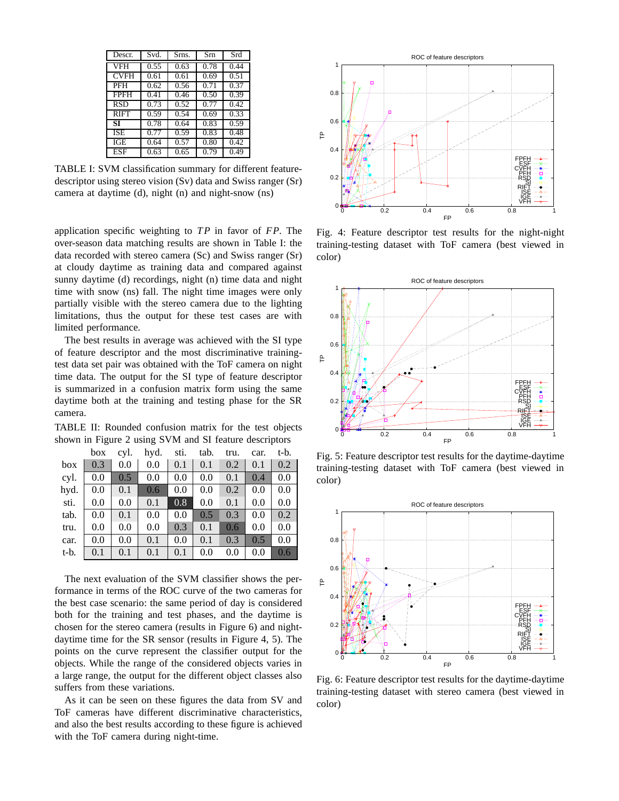| Descr.      | Svd. | Srns. | Srn  | Srd  |
|-------------|------|-------|------|------|
| <b>VFH</b>  | 0.55 | 0.63  | 0.78 | 0.44 |
| <b>CVFH</b> | 0.61 | 0.61  | 0.69 | 0.51 |
| PFH         | 0.62 | 0.56  | 0.71 | 0.37 |
| <b>FPFH</b> | 0.41 | 0.46  | 0.50 | 0.39 |
| <b>RSD</b>  | 0.73 | 0.52  | 0.77 | 0.42 |
| <b>RIFT</b> | 0.59 | 0.54  | 0.69 | 0.33 |
| ST          | 0.78 | 0.64  | 0.83 | 0.59 |
| <b>ISE</b>  | 0.77 | 0.59  | 0.83 | 0.48 |
| IGE         | 0.64 | 0.57  | 0.80 | 0.42 |
| <b>ESF</b>  | 0.63 | 0.65  | 0.79 | 0.49 |

TABLE I: SVM classification summary for different featuredescriptor using stereo vision (Sv) data and Swiss ranger (Sr) camera at daytime (d), night (n) and night-snow (ns)

application specific weighting to *T P* in favor of *FP*. The over-season data matching results are shown in Table I: the data recorded with stereo camera (Sc) and Swiss ranger (Sr) at cloudy daytime as training data and compared against sunny daytime (d) recordings, night (n) time data and night time with snow (ns) fall. The night time images were only partially visible with the stereo camera due to the lighting limitations, thus the output for these test cases are with limited performance.

The best results in average was achieved with the SI type of feature descriptor and the most discriminative trainingtest data set pair was obtained with the ToF camera on night time data. The output for the SI type of feature descriptor is summarized in a confusion matrix form using the same daytime both at the training and testing phase for the SR camera.

TABLE II: Rounded confusion matrix for the test objects shown in Figure 2 using SVM and SI feature descriptors

|      | box | cyl. | hyd. | sti. | tab. | tru. | car. | t-b. |
|------|-----|------|------|------|------|------|------|------|
| box  | 0.3 | 0.0  | 0.0  | 0.1  | 0.1  | 0.2  | 0.1  | 0.2  |
| cyl. | 0.0 | 0.5  | 0.0  | 0.0  | 0.0  | 0.1  | 0.4  | 0.0  |
| hyd. | 0.0 | 0.1  | 0.6  | 0.0  | 0.0  | 0.2  | 0.0  | 0.0  |
| sti. | 0.0 | 0.0  | 0.1  | 0.8  | 0.0  | 0.1  | 0.0  | 0.0  |
| tab. | 0.0 | 0.1  | 0.0  | 0.0  | 0.5  | 0.3  | 0.0  | 0.2  |
| tru. | 0.0 | 0.0  | 0.0  | 0.3  | 0.1  | 0.6  | 0.0  | 0.0  |
| car. | 0.0 | 0.0  | 0.1  | 0.0  | 0.1  | 0.3  | 0.5  | 0.0  |
| t-b. | 0.1 | 0.1  | 0.1  | 0.1  | 0.0  | 0.0  | 0.0  | 0.6  |

The next evaluation of the SVM classifier shows the performance in terms of the ROC curve of the two cameras for the best case scenario: the same period of day is considered both for the training and test phases, and the daytime is chosen for the stereo camera (results in Figure 6) and nightdaytime time for the SR sensor (results in Figure 4, 5). The points on the curve represent the classifier output for the objects. While the range of the considered objects varies in a large range, the output for the different object classes also suffers from these variations.

As it can be seen on these figures the data from SV and ToF cameras have different discriminative characteristics, and also the best results according to these figure is achieved with the ToF camera during night-time.



Fig. 4: Feature descriptor test results for the night-night training-testing dataset with ToF camera (best viewed in color)



Fig. 5: Feature descriptor test results for the daytime-daytime training-testing dataset with ToF camera (best viewed in color)



Fig. 6: Feature descriptor test results for the daytime-daytime training-testing dataset with stereo camera (best viewed in color)